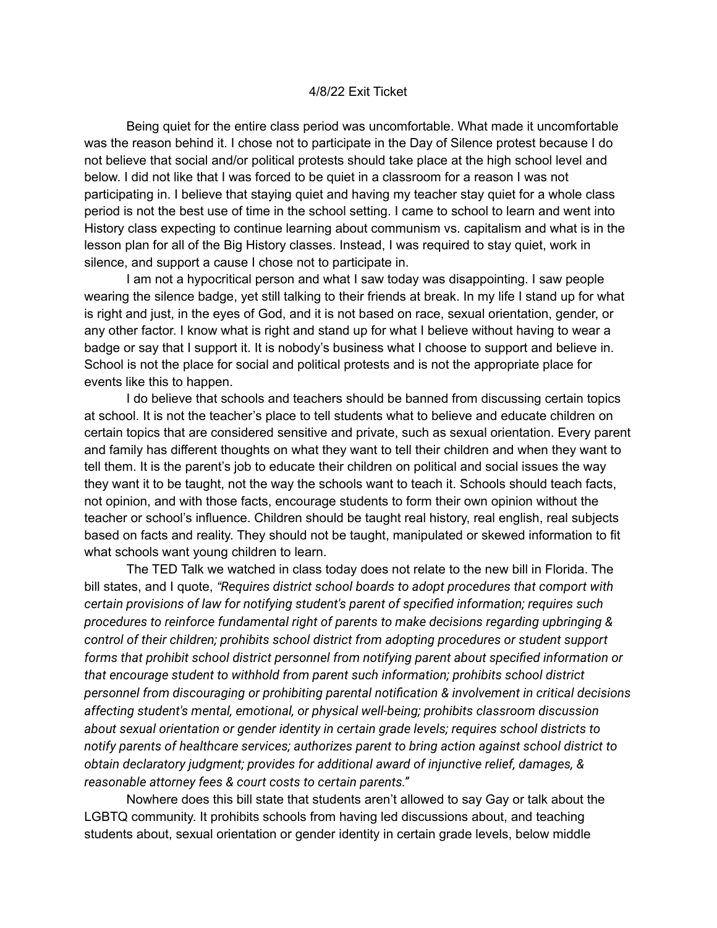## 4/8/22 Exit Ticket

Being quiet for the entire class period was uncomfortable. What made it uncomfortable was the reason behind it. I chose not to participate in the Day of Silence protest because I do not believe that social and/or political protests should take place at the high school level and below. I did not like that I was forced to be quiet in a classroom for a reason I was not participating in. I believe that staying quiet and having my teacher stay quiet for a whole class period is not the best use of time in the school setting. I came to school to learn and went into History class expecting to continue learning about communism vs. capitalism and what is in the lesson plan for all of the Big History classes. Instead, I was required to stay quiet, work in silence, and support a cause I chose not to participate in.

I am not a hypocritical person and what I saw today was disappointing. I saw people wearing the silence badge, yet still talking to their friends at break. In my life I stand up for what is right and just, in the eyes of God, and it is not based on race, sexual orientation, gender, or any other factor. I know what is right and stand up for what I believe without having to wear a badge or say that I support it. It is nobody's business what I choose to support and believe in. School is not the place for social and political protests and is not the appropriate place for events like this to happen.

I do believe that schools and teachers should be banned from discussing certain topics at school. It is not the teacher's place to tell students what to believe and educate children on certain topics that are considered sensitive and private, such as sexual orientation. Every parent and family has different thoughts on what they want to tell their children and when they want to tell them. It is the parent's job to educate their children on political and social issues the way they want it to be taught, not the way the schools want to teach it. Schools should teach facts, not opinion, and with those facts, encourage students to form their own opinion without the teacher or school's influence. Children should be taught real history, real english, real subjects based on facts and reality. They should not be taught, manipulated or skewed information to fit what schools want young children to learn.

The TED Talk we watched in class today does not relate to the new bill in Florida. The bill states, and I quote, *"Requires district school boards to adopt procedures that comport with certain provisions of law for notifying student's parent of specified information; requires such procedures to reinforce fundamental right of parents to make decisions regarding upbringing & control of their children; prohibits school district from adopting procedures or student support forms that prohibit school district personnel from notifying parent about specified information or that encourage student to withhold from parent such information; prohibits school district personnel from discouraging or prohibiting parental notification & involvement in critical decisions affecting student's mental, emotional, or physical well-being; prohibits classroom discussion about sexual orientation or gender identity in certain grade levels; requires school districts to notify parents of healthcare services; authorizes parent to bring action against school district to obtain declaratory judgment; provides for additional award of injunctive relief, damages, & reasonable attorney fees & court costs to certain parents."*

Nowhere does this bill state that students aren't allowed to say Gay or talk about the LGBTQ community. It prohibits schools from having led discussions about, and teaching students about, sexual orientation or gender identity in certain grade levels, below middle